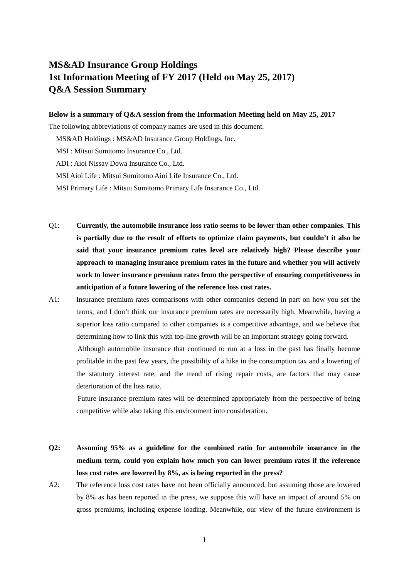# **MS&AD Insurance Group Holdings 1st Information Meeting of FY 2017 (Held on May 25, 2017) Q&A Session Summary**

#### **Below is a summary of Q&A session from the Information Meeting held on May 25, 2017**

The following abbreviations of company names are used in this document.

MS&AD Holdings : MS&AD Insurance Group Holdings, Inc.

MSI : Mitsui Sumitomo Insurance Co., Ltd.

ADI : Aioi Nissay Dowa Insurance Co., Ltd.

MSI Aioi Life : Mitsui Sumitomo Aioi Life Insurance Co., Ltd.

- MSI Primary Life : Mitsui Sumitomo Primary Life Insurance Co., Ltd.
- Q1: **Currently, the automobile insurance loss ratio seems to be lower than other companies. This is partially due to the result of efforts to optimize claim payments, but couldn't it also be said that your insurance premium rates level are relatively high? Please describe your approach to managing insurance premium rates in the future and whether you will actively work to lower insurance premium rates from the perspective of ensuring competitiveness in anticipation of a future lowering of the reference loss cost rates.**
- A1: Insurance premium rates comparisons with other companies depend in part on how you set the terms, and I don't think our insurance premium rates are necessarily high. Meanwhile, having a superior loss ratio compared to other companies is a competitive advantage, and we believe that determining how to link this with top-line growth will be an important strategy going forward. Although automobile insurance that continued to run at a loss in the past has finally become profitable in the past few years, the possibility of a hike in the consumption tax and a lowering of the statutory interest rate, and the trend of rising repair costs, are factors that may cause

deterioration of the loss ratio. Future insurance premium rates will be determined appropriately from the perspective of being competitive while also taking this environment into consideration.

- **Q2: Assuming 95% as a guideline for the combined ratio for automobile insurance in the medium term, could you explain how much you can lower premium rates if the reference loss cost rates are lowered by 8%, as is being reported in the press?**
- A2: The reference loss cost rates have not been officially announced, but assuming those are lowered by 8% as has been reported in the press, we suppose this will have an impact of around 5% on gross premiums, including expense loading. Meanwhile, our view of the future environment is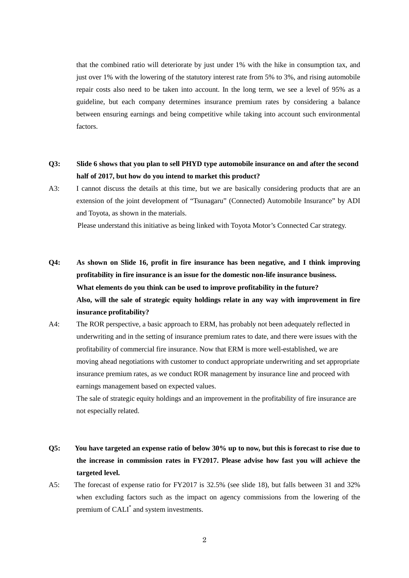that the combined ratio will deteriorate by just under 1% with the hike in consumption tax, and just over 1% with the lowering of the statutory interest rate from 5% to 3%, and rising automobile repair costs also need to be taken into account. In the long term, we see a level of 95% as a guideline, but each company determines insurance premium rates by considering a balance between ensuring earnings and being competitive while taking into account such environmental factors.

### **Q3: Slide 6 shows that you plan to sell PHYD type automobile insurance on and after the second half of 2017, but how do you intend to market this product?**

A3: I cannot discuss the details at this time, but we are basically considering products that are an extension of the joint development of "Tsunagaru" (Connected) Automobile Insurance" by ADI and Toyota, as shown in the materials.

Please understand this initiative as being linked with Toyota Motor's Connected Car strategy.

- **Q4: As shown on Slide 16, profit in fire insurance has been negative, and I think improving profitability in fire insurance is an issue for the domestic non-life insurance business. What elements do you think can be used to improve profitability in the future? Also, will the sale of strategic equity holdings relate in any way with improvement in fire insurance profitability?**
- A4: The ROR perspective, a basic approach to ERM, has probably not been adequately reflected in underwriting and in the setting of insurance premium rates to date, and there were issues with the profitability of commercial fire insurance. Now that ERM is more well-established, we are moving ahead negotiations with customer to conduct appropriate underwriting and set appropriate insurance premium rates, as we conduct ROR management by insurance line and proceed with earnings management based on expected values.

The sale of strategic equity holdings and an improvement in the profitability of fire insurance are not especially related.

- **Q5: You have targeted an expense ratio of below 30% up to now, but this is forecast to rise due to the increase in commission rates in FY2017. Please advise how fast you will achieve the targeted level.**
- A5: The forecast of expense ratio for FY2017 is 32.5% (see slide 18), but falls between 31 and 32% when excluding factors such as the impact on agency commissions from the lowering of the premium of CALI\* and system investments.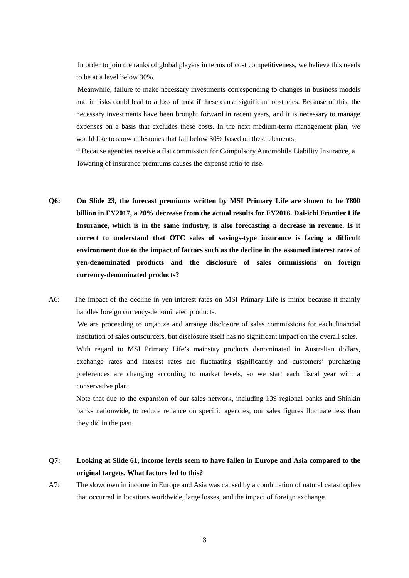In order to join the ranks of global players in terms of cost competitiveness, we believe this needs to be at a level below 30%.

 Meanwhile, failure to make necessary investments corresponding to changes in business models and in risks could lead to a loss of trust if these cause significant obstacles. Because of this, the necessary investments have been brought forward in recent years, and it is necessary to manage expenses on a basis that excludes these costs. In the next medium-term management plan, we would like to show milestones that fall below 30% based on these elements.

\* Because agencies receive a flat commission for Compulsory Automobile Liability Insurance, a lowering of insurance premiums causes the expense ratio to rise.

- **Q6: On Slide 23, the forecast premiums written by MSI Primary Life are shown to be ¥800 billion in FY2017, a 20% decrease from the actual results for FY2016. Dai-ichi Frontier Life Insurance, which is in the same industry, is also forecasting a decrease in revenue. Is it correct to understand that OTC sales of savings-type insurance is facing a difficult environment due to the impact of factors such as the decline in the assumed interest rates of yen-denominated products and the disclosure of sales commissions on foreign currency-denominated products?**
- A6: The impact of the decline in yen interest rates on MSI Primary Life is minor because it mainly handles foreign currency-denominated products.

 We are proceeding to organize and arrange disclosure of sales commissions for each financial institution of sales outsourcers, but disclosure itself has no significant impact on the overall sales. With regard to MSI Primary Life's mainstay products denominated in Australian dollars, exchange rates and interest rates are fluctuating significantly and customers' purchasing preferences are changing according to market levels, so we start each fiscal year with a conservative plan.

Note that due to the expansion of our sales network, including 139 regional banks and Shinkin banks nationwide, to reduce reliance on specific agencies, our sales figures fluctuate less than they did in the past.

#### **Q7: Looking at Slide 61, income levels seem to have fallen in Europe and Asia compared to the original targets. What factors led to this?**

A7: The slowdown in income in Europe and Asia was caused by a combination of natural catastrophes that occurred in locations worldwide, large losses, and the impact of foreign exchange.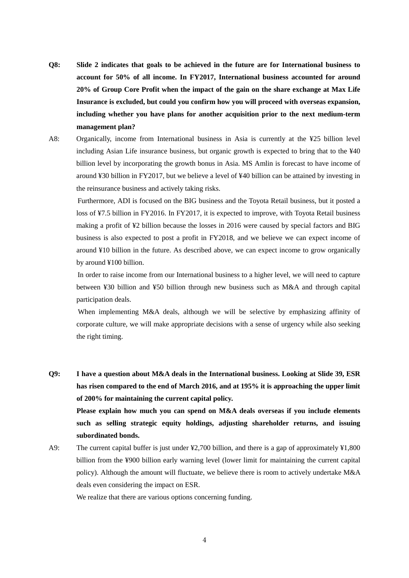- **Q8: Slide 2 indicates that goals to be achieved in the future are for International business to account for 50% of all income. In FY2017, International business accounted for around 20% of Group Core Profit when the impact of the gain on the share exchange at Max Life Insurance is excluded, but could you confirm how you will proceed with overseas expansion, including whether you have plans for another acquisition prior to the next medium-term management plan?**
- A8: Organically, income from International business in Asia is currently at the ¥25 billion level including Asian Life insurance business, but organic growth is expected to bring that to the ¥40 billion level by incorporating the growth bonus in Asia. MS Amlin is forecast to have income of around ¥30 billion in FY2017, but we believe a level of ¥40 billion can be attained by investing in the reinsurance business and actively taking risks.

 Furthermore, ADI is focused on the BIG business and the Toyota Retail business, but it posted a loss of ¥7.5 billion in FY2016. In FY2017, it is expected to improve, with Toyota Retail business making a profit of ¥2 billion because the losses in 2016 were caused by special factors and BIG business is also expected to post a profit in FY2018, and we believe we can expect income of around ¥10 billion in the future. As described above, we can expect income to grow organically by around ¥100 billion.

 In order to raise income from our International business to a higher level, we will need to capture between ¥30 billion and ¥50 billion through new business such as M&A and through capital participation deals.

When implementing M&A deals, although we will be selective by emphasizing affinity of corporate culture, we will make appropriate decisions with a sense of urgency while also seeking the right timing.

- **Q9: I have a question about M&A deals in the International business. Looking at Slide 39, ESR has risen compared to the end of March 2016, and at 195% it is approaching the upper limit of 200% for maintaining the current capital policy. Please explain how much you can spend on M&A deals overseas if you include elements such as selling strategic equity holdings, adjusting shareholder returns, and issuing subordinated bonds.**
- A9: The current capital buffer is just under ¥2,700 billion, and there is a gap of approximately ¥1,800 billion from the ¥900 billion early warning level (lower limit for maintaining the current capital policy). Although the amount will fluctuate, we believe there is room to actively undertake M&A deals even considering the impact on ESR.

We realize that there are various options concerning funding.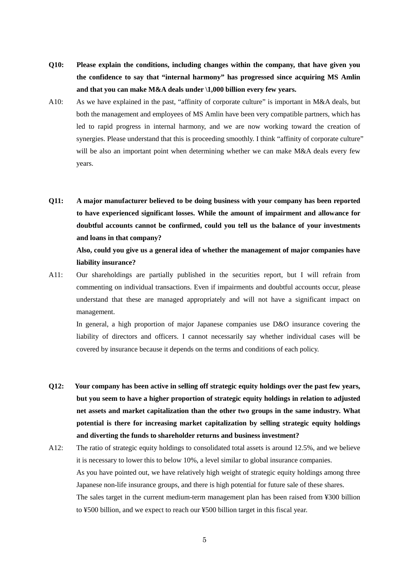- **Q10: Please explain the conditions, including changes within the company, that have given you the confidence to say that "internal harmony" has progressed since acquiring MS Amlin and that you can make M&A deals under \1,000 billion every few years.**
- A10: As we have explained in the past, "affinity of corporate culture" is important in M&A deals, but both the management and employees of MS Amlin have been very compatible partners, which has led to rapid progress in internal harmony, and we are now working toward the creation of synergies. Please understand that this is proceeding smoothly. I think "affinity of corporate culture" will be also an important point when determining whether we can make M&A deals every few years.
- **Q11: A major manufacturer believed to be doing business with your company has been reported to have experienced significant losses. While the amount of impairment and allowance for doubtful accounts cannot be confirmed, could you tell us the balance of your investments and loans in that company?**

**Also, could you give us a general idea of whether the management of major companies have liability insurance?**

A11: Our shareholdings are partially published in the securities report, but I will refrain from commenting on individual transactions. Even if impairments and doubtful accounts occur, please understand that these are managed appropriately and will not have a significant impact on management.

In general, a high proportion of major Japanese companies use D&O insurance covering the liability of directors and officers. I cannot necessarily say whether individual cases will be covered by insurance because it depends on the terms and conditions of each policy.

- **Q12: Your company has been active in selling off strategic equity holdings over the past few years, but you seem to have a higher proportion of strategic equity holdings in relation to adjusted net assets and market capitalization than the other two groups in the same industry. What potential is there for increasing market capitalization by selling strategic equity holdings and diverting the funds to shareholder returns and business investment?**
- A12: The ratio of strategic equity holdings to consolidated total assets is around 12.5%, and we believe it is necessary to lower this to below 10%, a level similar to global insurance companies. As you have pointed out, we have relatively high weight of strategic equity holdings among three Japanese non-life insurance groups, and there is high potential for future sale of these shares. The sales target in the current medium-term management plan has been raised from ¥300 billion to ¥500 billion, and we expect to reach our ¥500 billion target in this fiscal year.